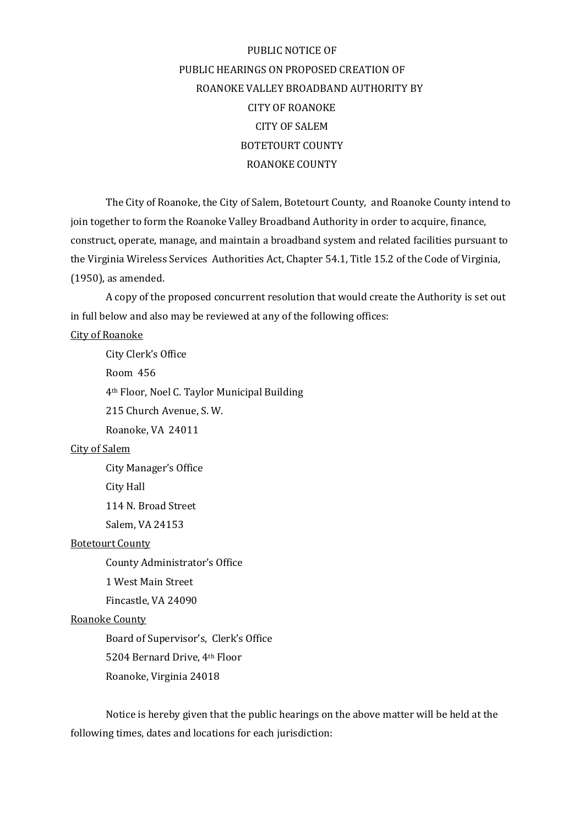# PUBLIC NOTICE OF PUBLIC HEARINGS ON PROPOSED CREATION OF ROANOKE VALLEY BROADBAND AUTHORITY BY CITY OF ROANOKE CITY OF SALEM BOTETOURT COUNTY ROANOKE COUNTY

The City of Roanoke, the City of Salem, Botetourt County, and Roanoke County intend to join together to form the Roanoke Valley Broadband Authority in order to acquire, finance, construct, operate, manage, and maintain a broadband system and related facilities pursuant to the Virginia Wireless Services Authorities Act, Chapter 54.1, Title 15.2 of the Code of Virginia, (1950), as amended.

A copy of the proposed concurrent resolution that would create the Authority is set out in full below and also may be reviewed at any of the following offices:

#### City of Roanoke

City Clerk's Office Room 456 4th Floor, Noel C. Taylor Municipal Building 215 Church Avenue, S. W. Roanoke, VA 24011

#### City of Salem

City Manager's Office

City Hall

114 N. Broad Street

Salem, VA 24153

#### Botetourt County

County Administrator's Office

1 West Main Street

Fincastle, VA 24090

#### Roanoke County

Board of Supervisor's, Clerk's Office 5204 Bernard Drive, 4th Floor Roanoke, Virginia 24018

Notice is hereby given that the public hearings on the above matter will be held at the following times, dates and locations for each jurisdiction: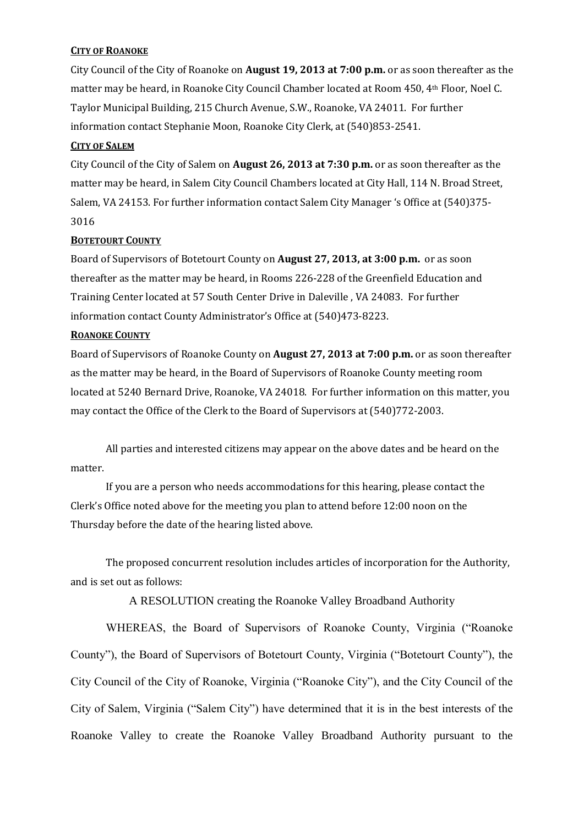# **CITY OF ROANOKE**

City Council of the City of Roanoke on **August 19, 2013 at 7:00 p.m.** or as soon thereafter as the matter may be heard, in Roanoke City Council Chamber located at Room 450, 4th Floor, Noel C. Taylor Municipal Building, 215 Church Avenue, S.W., Roanoke, VA 24011. For further information contact Stephanie Moon, Roanoke City Clerk, at (540)853-2541.

#### **CITY OF SALEM**

City Council of the City of Salem on **August 26, 2013 at 7:30 p.m.** or as soon thereafter as the matter may be heard, in Salem City Council Chambers located at City Hall, 114 N. Broad Street, Salem, VA 24153. For further information contact Salem City Manager 's Office at (540)375- 3016

# **BOTETOURT COUNTY**

Board of Supervisors of Botetourt County on **August 27, 2013, at 3:00 p.m.** or as soon thereafter as the matter may be heard, in Rooms 226-228 of the Greenfield Education and Training Center located at 57 South Center Drive in Daleville , VA 24083. For further information contact County Administrator's Office at (540)473-8223.

# **ROANOKE COUNTY**

Board of Supervisors of Roanoke County on **August 27, 2013 at 7:00 p.m.** or as soon thereafter as the matter may be heard, in the Board of Supervisors of Roanoke County meeting room located at 5240 Bernard Drive, Roanoke, VA 24018. For further information on this matter, you may contact the Office of the Clerk to the Board of Supervisors at (540)772-2003.

All parties and interested citizens may appear on the above dates and be heard on the matter.

If you are a person who needs accommodations for this hearing, please contact the Clerk's Office noted above for the meeting you plan to attend before 12:00 noon on the Thursday before the date of the hearing listed above.

The proposed concurrent resolution includes articles of incorporation for the Authority, and is set out as follows:

A RESOLUTION creating the Roanoke Valley Broadband Authority

WHEREAS, the Board of Supervisors of Roanoke County, Virginia ("Roanoke County"), the Board of Supervisors of Botetourt County, Virginia ("Botetourt County"), the City Council of the City of Roanoke, Virginia ("Roanoke City"), and the City Council of the City of Salem, Virginia ("Salem City") have determined that it is in the best interests of the Roanoke Valley to create the Roanoke Valley Broadband Authority pursuant to the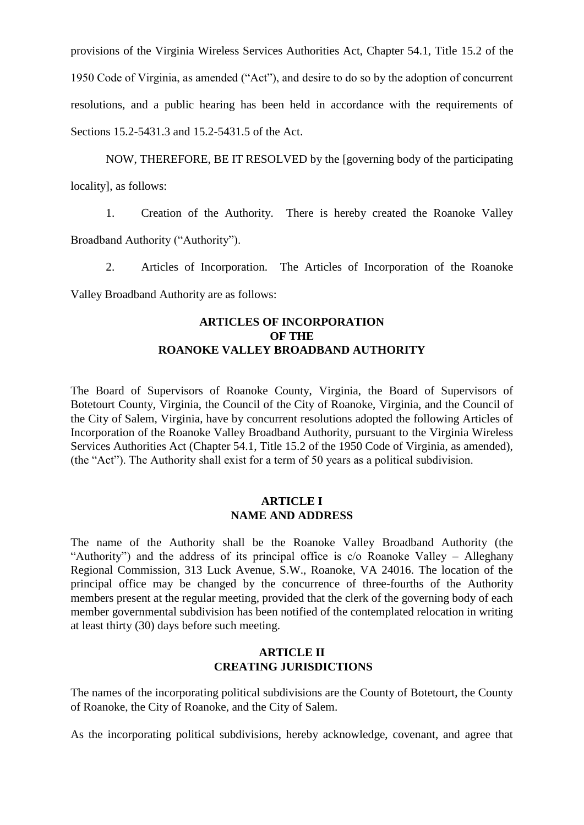provisions of the Virginia Wireless Services Authorities Act, Chapter 54.1, Title 15.2 of the 1950 Code of Virginia, as amended ("Act"), and desire to do so by the adoption of concurrent resolutions, and a public hearing has been held in accordance with the requirements of Sections 15.2-5431.3 and 15.2-5431.5 of the Act.

NOW, THEREFORE, BE IT RESOLVED by the [governing body of the participating locality], as follows:

1. Creation of the Authority. There is hereby created the Roanoke Valley Broadband Authority ("Authority").

2. Articles of Incorporation. The Articles of Incorporation of the Roanoke

Valley Broadband Authority are as follows:

### **ARTICLES OF INCORPORATION OF THE ROANOKE VALLEY BROADBAND AUTHORITY**

The Board of Supervisors of Roanoke County, Virginia, the Board of Supervisors of Botetourt County, Virginia, the Council of the City of Roanoke, Virginia, and the Council of the City of Salem, Virginia, have by concurrent resolutions adopted the following Articles of Incorporation of the Roanoke Valley Broadband Authority, pursuant to the Virginia Wireless Services Authorities Act (Chapter 54.1, Title 15.2 of the 1950 Code of Virginia, as amended), (the "Act"). The Authority shall exist for a term of 50 years as a political subdivision.

# **ARTICLE I NAME AND ADDRESS**

The name of the Authority shall be the Roanoke Valley Broadband Authority (the "Authority") and the address of its principal office is c/o Roanoke Valley – Alleghany Regional Commission, 313 Luck Avenue, S.W., Roanoke, VA 24016. The location of the principal office may be changed by the concurrence of three-fourths of the Authority members present at the regular meeting, provided that the clerk of the governing body of each member governmental subdivision has been notified of the contemplated relocation in writing at least thirty (30) days before such meeting.

# **ARTICLE II CREATING JURISDICTIONS**

The names of the incorporating political subdivisions are the County of Botetourt, the County of Roanoke, the City of Roanoke, and the City of Salem.

As the incorporating political subdivisions, hereby acknowledge, covenant, and agree that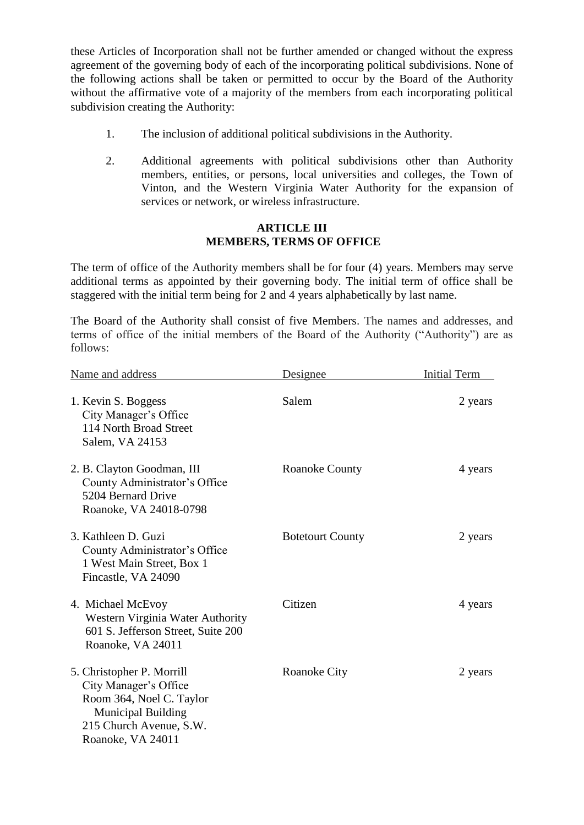these Articles of Incorporation shall not be further amended or changed without the express agreement of the governing body of each of the incorporating political subdivisions. None of the following actions shall be taken or permitted to occur by the Board of the Authority without the affirmative vote of a majority of the members from each incorporating political subdivision creating the Authority:

- 1. The inclusion of additional political subdivisions in the Authority.
- 2. Additional agreements with political subdivisions other than Authority members, entities, or persons, local universities and colleges, the Town of Vinton, and the Western Virginia Water Authority for the expansion of services or network, or wireless infrastructure.

# **ARTICLE III MEMBERS, TERMS OF OFFICE**

The term of office of the Authority members shall be for four (4) years. Members may serve additional terms as appointed by their governing body. The initial term of office shall be staggered with the initial term being for 2 and 4 years alphabetically by last name.

The Board of the Authority shall consist of five Members. The names and addresses, and terms of office of the initial members of the Board of the Authority ("Authority") are as follows:

| Name and address                                                                                                                                            | Designee                | <b>Initial Term</b> |
|-------------------------------------------------------------------------------------------------------------------------------------------------------------|-------------------------|---------------------|
| 1. Kevin S. Boggess<br>City Manager's Office<br>114 North Broad Street<br>Salem, VA 24153                                                                   | Salem                   | 2 years             |
| 2. B. Clayton Goodman, III<br>County Administrator's Office<br>5204 Bernard Drive<br>Roanoke, VA 24018-0798                                                 | Roanoke County          | 4 years             |
| 3. Kathleen D. Guzi<br>County Administrator's Office<br>1 West Main Street, Box 1<br>Fincastle, VA 24090                                                    | <b>Botetourt County</b> | 2 years             |
| 4. Michael McEvoy<br>Western Virginia Water Authority<br>601 S. Jefferson Street, Suite 200<br>Roanoke, VA 24011                                            | Citizen                 | 4 years             |
| 5. Christopher P. Morrill<br>City Manager's Office<br>Room 364, Noel C. Taylor<br><b>Municipal Building</b><br>215 Church Avenue, S.W.<br>Roanoke, VA 24011 | Roanoke City            | 2 years             |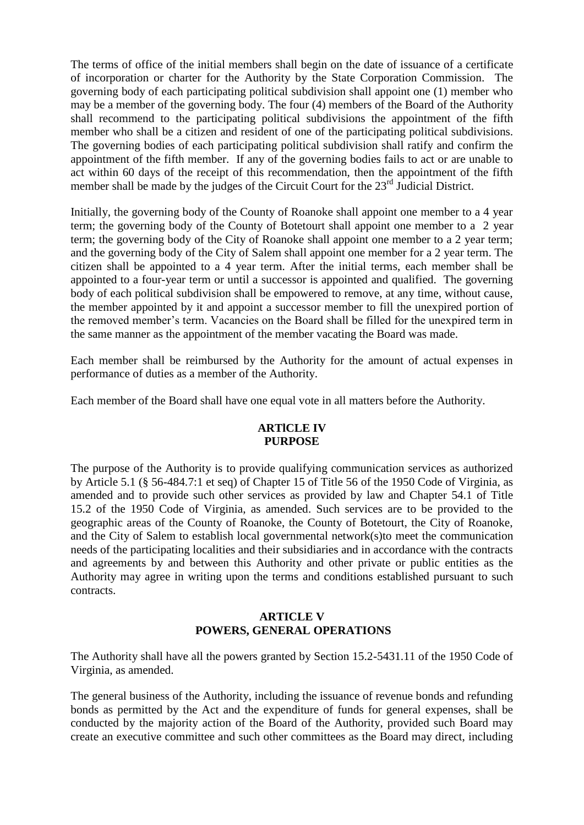The terms of office of the initial members shall begin on the date of issuance of a certificate of incorporation or charter for the Authority by the State Corporation Commission. The governing body of each participating political subdivision shall appoint one (1) member who may be a member of the governing body. The four (4) members of the Board of the Authority shall recommend to the participating political subdivisions the appointment of the fifth member who shall be a citizen and resident of one of the participating political subdivisions. The governing bodies of each participating political subdivision shall ratify and confirm the appointment of the fifth member. If any of the governing bodies fails to act or are unable to act within 60 days of the receipt of this recommendation, then the appointment of the fifth member shall be made by the judges of the Circuit Court for the 23<sup>rd</sup> Judicial District.

Initially, the governing body of the County of Roanoke shall appoint one member to a 4 year term; the governing body of the County of Botetourt shall appoint one member to a 2 year term; the governing body of the City of Roanoke shall appoint one member to a 2 year term; and the governing body of the City of Salem shall appoint one member for a 2 year term. The citizen shall be appointed to a 4 year term. After the initial terms, each member shall be appointed to a four-year term or until a successor is appointed and qualified. The governing body of each political subdivision shall be empowered to remove, at any time, without cause, the member appointed by it and appoint a successor member to fill the unexpired portion of the removed member's term. Vacancies on the Board shall be filled for the unexpired term in the same manner as the appointment of the member vacating the Board was made.

Each member shall be reimbursed by the Authority for the amount of actual expenses in performance of duties as a member of the Authority.

Each member of the Board shall have one equal vote in all matters before the Authority.

#### **ARTlCLE IV PURPOSE**

The purpose of the Authority is to provide qualifying communication services as authorized by Article 5.1 (§ 56-484.7:1 et seq) of Chapter 15 of Title 56 of the 1950 Code of Virginia, as amended and to provide such other services as provided by law and Chapter 54.1 of Title 15.2 of the 1950 Code of Virginia, as amended. Such services are to be provided to the geographic areas of the County of Roanoke, the County of Botetourt, the City of Roanoke, and the City of Salem to establish local governmental network(s)to meet the communication needs of the participating localities and their subsidiaries and in accordance with the contracts and agreements by and between this Authority and other private or public entities as the Authority may agree in writing upon the terms and conditions established pursuant to such contracts.

# **ARTICLE V POWERS, GENERAL OPERATIONS**

The Authority shall have all the powers granted by Section 15.2-5431.11 of the 1950 Code of Virginia, as amended.

The general business of the Authority, including the issuance of revenue bonds and refunding bonds as permitted by the Act and the expenditure of funds for general expenses, shall be conducted by the majority action of the Board of the Authority, provided such Board may create an executive committee and such other committees as the Board may direct, including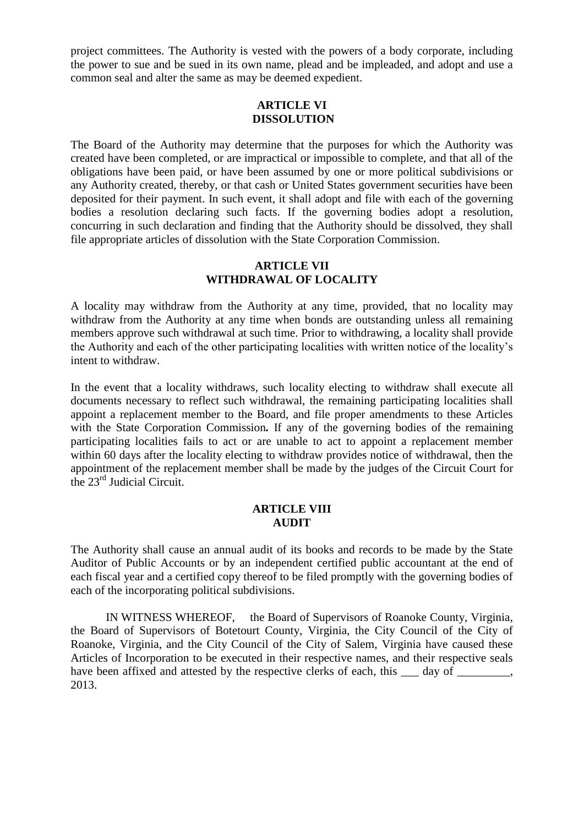project committees. The Authority is vested with the powers of a body corporate, including the power to sue and be sued in its own name, plead and be impleaded, and adopt and use a common seal and alter the same as may be deemed expedient.

# **ARTICLE VI DISSOLUTION**

The Board of the Authority may determine that the purposes for which the Authority was created have been completed, or are impractical or impossible to complete, and that all of the obligations have been paid, or have been assumed by one or more political subdivisions or any Authority created, thereby, or that cash or United States government securities have been deposited for their payment. In such event, it shall adopt and file with each of the governing bodies a resolution declaring such facts. If the governing bodies adopt a resolution, concurring in such declaration and finding that the Authority should be dissolved, they shall file appropriate articles of dissolution with the State Corporation Commission.

#### **ARTICLE VII WITHDRAWAL OF LOCALITY**

A locality may withdraw from the Authority at any time, provided, that no locality may withdraw from the Authority at any time when bonds are outstanding unless all remaining members approve such withdrawal at such time. Prior to withdrawing, a locality shall provide the Authority and each of the other participating localities with written notice of the locality's intent to withdraw.

In the event that a locality withdraws, such locality electing to withdraw shall execute all documents necessary to reflect such withdrawal, the remaining participating localities shall appoint a replacement member to the Board, and file proper amendments to these Articles with the State Corporation Commission*.* If any of the governing bodies of the remaining participating localities fails to act or are unable to act to appoint a replacement member within 60 days after the locality electing to withdraw provides notice of withdrawal, then the appointment of the replacement member shall be made by the judges of the Circuit Court for the 23rd Judicial Circuit.

#### **ARTICLE VIII AUDIT**

The Authority shall cause an annual audit of its books and records to be made by the State Auditor of Public Accounts or by an independent certified public accountant at the end of each fiscal year and a certified copy thereof to be filed promptly with the governing bodies of each of the incorporating political subdivisions.

IN WITNESS WHEREOF, the Board of Supervisors of Roanoke County, Virginia, the Board of Supervisors of Botetourt County, Virginia, the City Council of the City of Roanoke, Virginia, and the City Council of the City of Salem, Virginia have caused these Articles of Incorporation to be executed in their respective names, and their respective seals have been affixed and attested by the respective clerks of each, this  $\_\_$  day of  $\_\_$ 2013.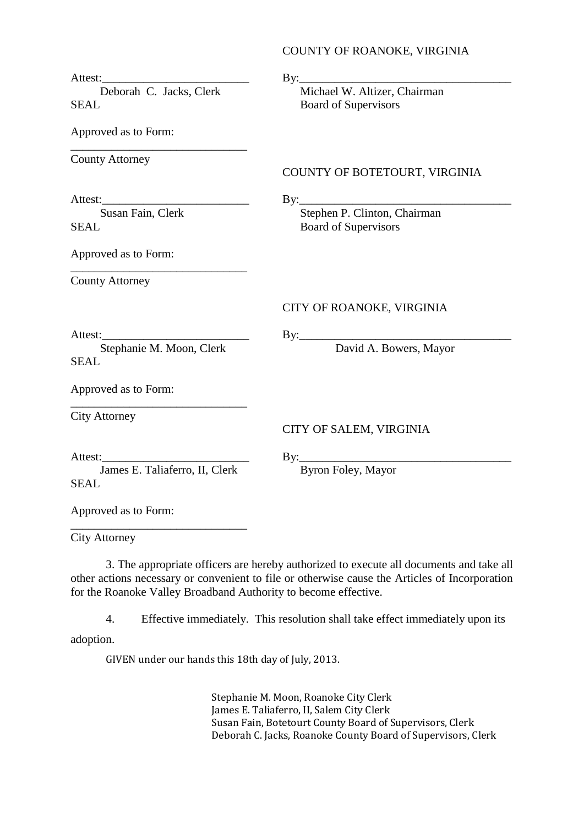#### COUNTY OF ROANOKE, VIRGINIA

|                                               | $\text{By:}\_$                                                  |
|-----------------------------------------------|-----------------------------------------------------------------|
| Deborah C. Jacks, Clerk<br><b>SEAL</b>        | Michael W. Altizer, Chairman<br><b>Board of Supervisors</b>     |
| Approved as to Form:                          |                                                                 |
| <b>County Attorney</b>                        | COUNTY OF BOTETOURT, VIRGINIA                                   |
| Attest:<br>Susan Fain, Clerk<br><b>SEAL</b>   | By: Stephen P. Clinton, Chairman<br><b>Board of Supervisors</b> |
| Approved as to Form:                          |                                                                 |
| <b>County Attorney</b>                        |                                                                 |
|                                               | CITY OF ROANOKE, VIRGINIA                                       |
| Stephanie M. Moon, Clerk<br><b>SEAL</b>       | David A. Bowers, Mayor                                          |
| Approved as to Form:                          |                                                                 |
| <b>City Attorney</b>                          | CITY OF SALEM, VIRGINIA                                         |
| James E. Taliaferro, II, Clerk<br><b>SEAL</b> | $\mathbf{By:}$<br>Byron Foley, Mayor                            |
| Approved as to Form:                          |                                                                 |

City Attorney

3. The appropriate officers are hereby authorized to execute all documents and take all other actions necessary or convenient to file or otherwise cause the Articles of Incorporation for the Roanoke Valley Broadband Authority to become effective.

4. Effective immediately. This resolution shall take effect immediately upon its adoption.

GIVEN under our hands this 18th day of July, 2013.

Stephanie M. Moon, Roanoke City Clerk James E. Taliaferro, II, Salem City Clerk Susan Fain, Botetourt County Board of Supervisors, Clerk Deborah C. Jacks, Roanoke County Board of Supervisors, Clerk